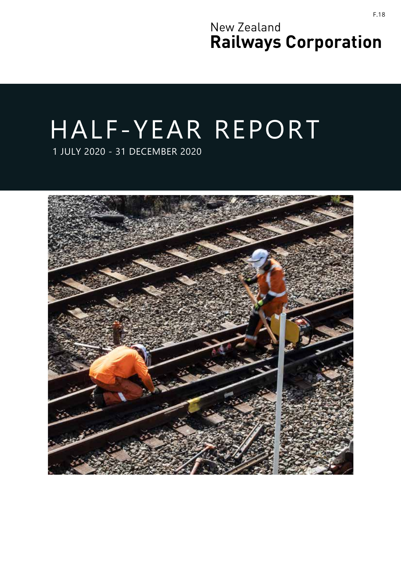New Zealand **Railways Corporation**

# HALF-YEAR REPORT

1 JULY 2020 - 31 DECEMBER 2020

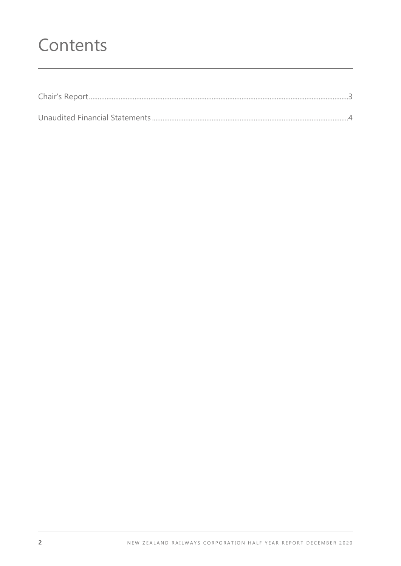# Contents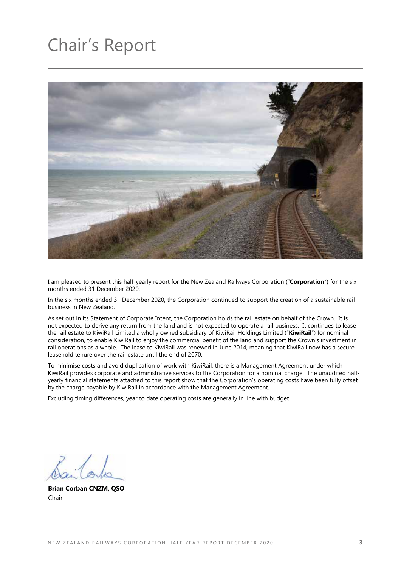# Chair's Report



I am pleased to present this half-yearly report for the New Zealand Railways Corporation ("**Corporation**") for the six months ended 31 December 2020.

In the six months ended 31 December 2020, the Corporation continued to support the creation of a sustainable rail business in New Zealand.

As set out in its Statement of Corporate Intent, the Corporation holds the rail estate on behalf of the Crown. It is not expected to derive any return from the land and is not expected to operate a rail business. It continues to lease the rail estate to KiwiRail Limited a wholly owned subsidiary of KiwiRail Holdings Limited ("**KiwiRail**") for nominal consideration, to enable KiwiRail to enjoy the commercial benefit of the land and support the Crown's investment in rail operations as a whole. The lease to KiwiRail was renewed in June 2014, meaning that KiwiRail now has a secure leasehold tenure over the rail estate until the end of 2070.

To minimise costs and avoid duplication of work with KiwiRail, there is a Management Agreement under which KiwiRail provides corporate and administrative services to the Corporation for a nominal charge. The unaudited halfyearly financial statements attached to this report show that the Corporation's operating costs have been fully offset by the charge payable by KiwiRail in accordance with the Management Agreement.

Excluding timing differences, year to date operating costs are generally in line with budget.

**Brian Corban CNZM, QSO** Chair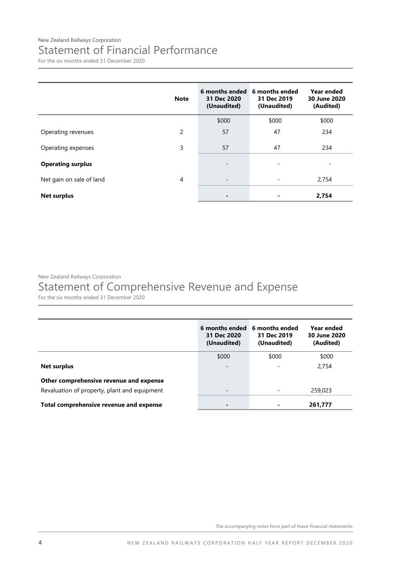### New Zealand Railways Corporation Statement of Financial Performance

For the six months ended 31 December 2020

|                          | <b>Note</b>    | 6 months ended<br>31 Dec 2020<br>(Unaudited) | 6 months ended<br>31 Dec 2019<br>(Unaudited) | Year ended<br>30 June 2020<br>(Audited) |
|--------------------------|----------------|----------------------------------------------|----------------------------------------------|-----------------------------------------|
|                          |                | \$000                                        | \$000                                        | \$000                                   |
| Operating revenues       | $\overline{2}$ | 57                                           | 47                                           | 234                                     |
| Operating expenses       | 3              | 57                                           | 47                                           | 234                                     |
| <b>Operating surplus</b> |                | $\overline{\phantom{a}}$                     | $\qquad \qquad \blacksquare$                 | -                                       |
| Net gain on sale of land | 4              | $\overline{\phantom{a}}$                     |                                              | 2,754                                   |
| <b>Net surplus</b>       |                | $\blacksquare$                               |                                              | 2,754                                   |

New Zealand Railways Corporation

# Statement of Comprehensive Revenue and Expense

For the six months ended 31 December 2020

|                                              | 6 months ended<br>31 Dec 2020<br>(Unaudited) | 6 months ended<br>31 Dec 2019<br>(Unaudited) | Year ended<br>30 June 2020<br>(Audited) |
|----------------------------------------------|----------------------------------------------|----------------------------------------------|-----------------------------------------|
|                                              | \$000                                        | \$000                                        | \$000                                   |
| Net surplus                                  |                                              |                                              | 2,754                                   |
| Other comprehensive revenue and expense      |                                              |                                              |                                         |
| Revaluation of property, plant and equipment | $\overline{\phantom{0}}$                     |                                              | 259,023                                 |
| Total comprehensive revenue and expense      | $\blacksquare$                               |                                              | 261,777                                 |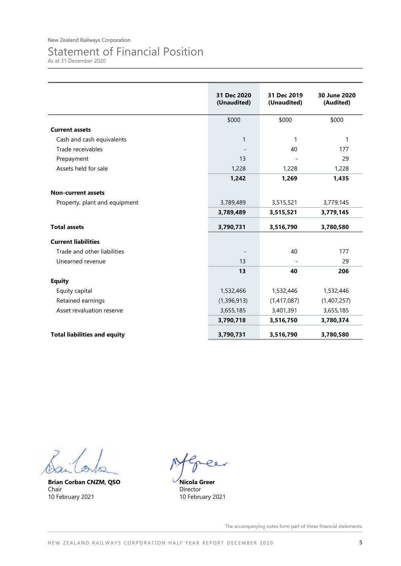# Statement of Financial Position

As at 31 December 2020

|                                     | 31 Dec 2020<br>(Unaudited) | 31 Dec 2019<br>(Unaudited) | 30 June 2020<br>(Audited) |
|-------------------------------------|----------------------------|----------------------------|---------------------------|
|                                     | \$000                      | \$000                      | \$000                     |
| <b>Current assets</b>               |                            |                            |                           |
| Cash and cash equivalents           | $\mathbf{1}$               | 1                          | 1                         |
| Trade receivables                   |                            | 40                         | 177                       |
| Prepayment                          | 13                         |                            | 29                        |
| Assets held for sale                | 1,228                      | 1,228                      | 1,228                     |
|                                     | 1,242                      | 1,269                      | 1,435                     |
| <b>Non-current assets</b>           |                            |                            |                           |
| Property, plant and equipment       | 3,789,489                  | 3,515,521                  | 3,779,145                 |
|                                     | 3,789,489                  | 3,515,521                  | 3,779,145                 |
| <b>Total assets</b>                 | 3,790,731                  | 3,516,790                  | 3,780,580                 |
| <b>Current liabilities</b>          |                            |                            |                           |
| Trade and other liabilities         |                            | 40                         | 177                       |
| Unearned revenue                    | 13                         |                            | 29                        |
|                                     | 13                         | 40                         | 206                       |
| <b>Equity</b>                       |                            |                            |                           |
| Equity capital                      | 1,532,466                  | 1,532,446                  | 1,532,446                 |
| Retained earnings                   | (1,396,913)                | (1,417,087)                | (1,407,257)               |
| Asset revaluation reserve           | 3,655,185                  | 3,401,391                  | 3,655,185                 |
|                                     | 3,790,718                  | 3,516,750                  | 3,780,374                 |
| <b>Total liabilities and equity</b> | 3,790,731                  | 3,516,790                  | 3,780,580                 |

**Brian Corban CNZM, QSO** Chair 10 February 2021

**Nicola Greer** Director 10 February 2021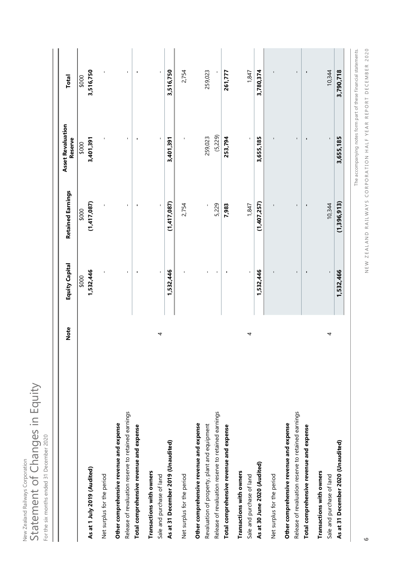New Zealand Railways Corporation<br>Statement of Changes in Equity Statement of Changes in Equity New Zealand Railways Corporation

| ¢<br>i<br>Ó<br>¢                      |
|---------------------------------------|
| ١<br>j<br>I<br>j<br>ł<br>I            |
|                                       |
| ١                                     |
| I<br>I<br>٦                           |
| j<br>I<br>I<br>ä,<br>é<br>١<br>ł<br>I |
| I<br>١                                |
| I<br>2<br>I<br>i<br>é                 |
| j<br>Ï<br>ĭ                           |

|                                                                                                | <b>Note</b> | <b>Equity Capital</b> | <b>Retained Earnings</b> | <b>Asset Revaluation</b><br>Reserve                             | Total                    |
|------------------------------------------------------------------------------------------------|-------------|-----------------------|--------------------------|-----------------------------------------------------------------|--------------------------|
| As at 1 July 2019 (Audited)                                                                    |             | 1,532,446<br>\$000    | (1,417,087)<br>\$000     | 3,401,391<br>\$000                                              | 3,516,750<br>\$000       |
| Net surplus for the period                                                                     |             |                       |                          | $\overline{\phantom{a}}$                                        | $\overline{\phantom{a}}$ |
| Release of revaluation reserve to retained earnings<br>Other comprehensive revenue and expense |             |                       | $\mathbf{I}$             | J.                                                              | ٠                        |
| Total comprehensive revenue and expense                                                        |             |                       | ٠                        | ٠                                                               | ٠                        |
| Transactions with owners<br>Sale and purchase of land                                          | 4           |                       |                          |                                                                 | $\mathbf{I}$             |
| As at 31 December 2019 (Unaudited)                                                             |             | 1,532,446             | (1,417,087)              | 3,401,391                                                       | 3,516,750                |
| Net surplus for the period                                                                     |             |                       | 2,754                    |                                                                 | 2,754                    |
| Other comprehensive revenue and expense<br>Revaluation of property, plant and equipment        |             |                       |                          | 259,023                                                         | 259,023                  |
| Release of revaluation reserve to retained earnings                                            |             |                       | 5,229                    | (5, 229)                                                        |                          |
| Total comprehensive revenue and expense                                                        |             |                       | 7,983                    | 253,794                                                         | 261,777                  |
| Transactions with owners<br>Sale and purchase of land                                          | 4           |                       | 1,847                    |                                                                 | 1,847                    |
| As at 30 June 2020 (Audited)                                                                   |             | 1,532,446             | (1,407,257)              | 3,655,185                                                       | 3,780,374                |
| Net surplus for the period                                                                     |             |                       |                          |                                                                 |                          |
| Release of revaluation reserve to retained earnings<br>Other comprehensive revenue and expense |             |                       | ı                        |                                                                 |                          |
| Total comprehensive revenue and expense                                                        |             |                       | ı                        | п                                                               | $\blacksquare$           |
| Transactions with owners                                                                       |             |                       |                          |                                                                 |                          |
| Sale and purchase of land                                                                      | 4           |                       | 10,344                   |                                                                 | 10,344                   |
| As at 31 December 2020 (Unaudited)                                                             |             | 1,532,466             | (1,396,913)              | 3,655,185                                                       | 3,790,718                |
|                                                                                                |             |                       |                          | The accompanying notes form part of these financial statements. |                          |

NEW ZEALAND RAILWAYS CORPORATION HALF YEAR REPORT DECEMBER 2020 NEW ZEALAND RAILWAYS CORPORATION HALF YEAR REPORT DECEMBER 2020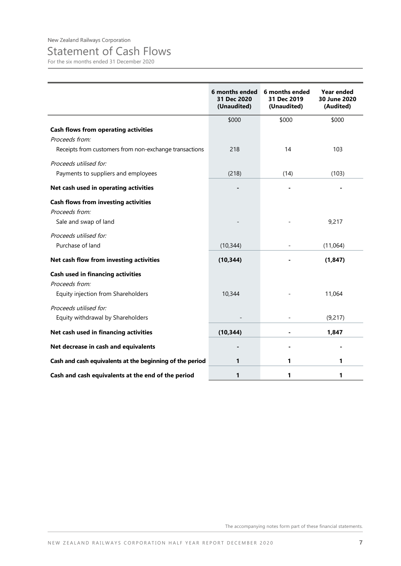# Statement of Cash Flows

For the six months ended 31 December 2020

|                                                                                                                         | 6 months ended<br>31 Dec 2020<br>(Unaudited) | 6 months ended<br>31 Dec 2019<br>(Unaudited) | Year ended<br>30 June 2020<br>(Audited) |
|-------------------------------------------------------------------------------------------------------------------------|----------------------------------------------|----------------------------------------------|-----------------------------------------|
|                                                                                                                         | \$000                                        | \$000                                        | \$000                                   |
| <b>Cash flows from operating activities</b><br>Proceeds from:<br>Receipts from customers from non-exchange transactions | 218                                          | 14                                           | 103                                     |
| Proceeds utilised for:<br>Payments to suppliers and employees                                                           | (218)                                        | (14)                                         | (103)                                   |
| Net cash used in operating activities                                                                                   |                                              |                                              |                                         |
| <b>Cash flows from investing activities</b><br>Proceeds from:<br>Sale and swap of land                                  |                                              |                                              | 9,217                                   |
| Proceeds utilised for:<br>Purchase of land                                                                              | (10, 344)                                    |                                              | (11,064)                                |
| Net cash flow from investing activities                                                                                 | (10, 344)                                    |                                              | (1, 847)                                |
| <b>Cash used in financing activities</b><br>Proceeds from:<br>Equity injection from Shareholders                        | 10,344                                       |                                              | 11,064                                  |
| Proceeds utilised for:<br>Equity withdrawal by Shareholders                                                             |                                              |                                              | (9,217)                                 |
| Net cash used in financing activities                                                                                   | (10, 344)                                    |                                              | 1,847                                   |
| Net decrease in cash and equivalents                                                                                    |                                              |                                              |                                         |
| Cash and cash equivalents at the beginning of the period                                                                | 1                                            | 1                                            | 1                                       |
| Cash and cash equivalents at the end of the period                                                                      | 1                                            | 1                                            | 1                                       |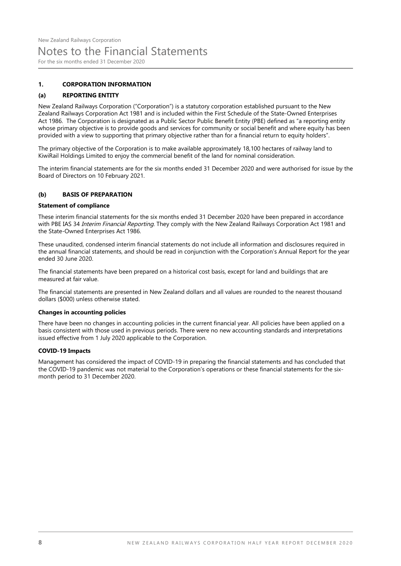## Notes to the Financial Statements

For the six months ended 31 December 2020

#### **1. CORPORATION INFORMATION**

#### **(a) REPORTING ENTITY**

New Zealand Railways Corporation ("Corporation") is a statutory corporation established pursuant to the New Zealand Railways Corporation Act 1981 and is included within the First Schedule of the State-Owned Enterprises Act 1986. The Corporation is designated as a Public Sector Public Benefit Entity (PBE) defined as "a reporting entity whose primary objective is to provide goods and services for community or social benefit and where equity has been provided with a view to supporting that primary objective rather than for a financial return to equity holders".

The primary objective of the Corporation is to make available approximately 18,100 hectares of railway land to KiwiRail Holdings Limited to enjoy the commercial benefit of the land for nominal consideration.

The interim financial statements are for the six months ended 31 December 2020 and were authorised for issue by the Board of Directors on 10 February 2021.

#### **(b) BASIS OF PREPARATION**

#### **Statement of compliance**

These interim financial statements for the six months ended 31 December 2020 have been prepared in accordance with PBE IAS 34 Interim Financial Reporting. They comply with the New Zealand Railways Corporation Act 1981 and the State-Owned Enterprises Act 1986.

These unaudited, condensed interim financial statements do not include all information and disclosures required in the annual financial statements, and should be read in conjunction with the Corporation's Annual Report for the year ended 30 June 2020.

The financial statements have been prepared on a historical cost basis, except for land and buildings that are measured at fair value.

The financial statements are presented in New Zealand dollars and all values are rounded to the nearest thousand dollars (\$000) unless otherwise stated.

#### **Changes in accounting policies**

There have been no changes in accounting policies in the current financial year. All policies have been applied on a basis consistent with those used in previous periods. There were no new accounting standards and interpretations issued effective from 1 July 2020 applicable to the Corporation.

#### **COVID-19 Impacts**

Management has considered the impact of COVID-19 in preparing the financial statements and has concluded that the COVID-19 pandemic was not material to the Corporation's operations or these financial statements for the sixmonth period to 31 December 2020.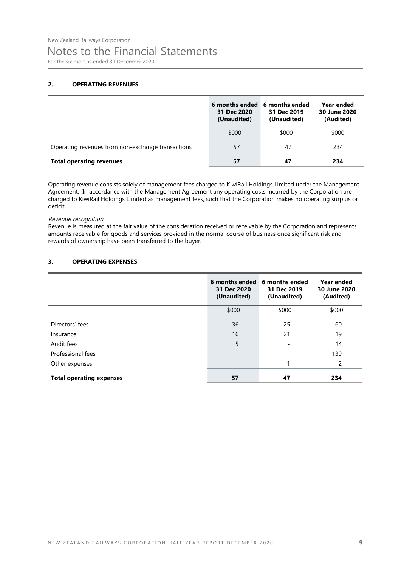# Notes to the Financial Statements

For the six months ended 31 December 2020

#### **2. OPERATING REVENUES**

|                                                   | 6 months ended<br>31 Dec 2020<br>(Unaudited) | 6 months ended<br>31 Dec 2019<br>(Unaudited) | Year ended<br>30 June 2020<br>(Audited) |
|---------------------------------------------------|----------------------------------------------|----------------------------------------------|-----------------------------------------|
|                                                   | \$000                                        | \$000                                        | \$000                                   |
| Operating revenues from non-exchange transactions | 57                                           | 47                                           | 234                                     |
| <b>Total operating revenues</b>                   | 57                                           | 47                                           | 234                                     |

Operating revenue consists solely of management fees charged to KiwiRail Holdings Limited under the Management Agreement. In accordance with the Management Agreement any operating costs incurred by the Corporation are charged to KiwiRail Holdings Limited as management fees, such that the Corporation makes no operating surplus or deficit.

#### Revenue recognition

Revenue is measured at the fair value of the consideration received or receivable by the Corporation and represents amounts receivable for goods and services provided in the normal course of business once significant risk and rewards of ownership have been transferred to the buyer.

#### **3. OPERATING EXPENSES**

|                                 | 6 months ended<br>31 Dec 2020<br>(Unaudited) | 6 months ended<br>31 Dec 2019<br>(Unaudited) | Year ended<br>30 June 2020<br>(Audited) |
|---------------------------------|----------------------------------------------|----------------------------------------------|-----------------------------------------|
|                                 | \$000                                        | \$000                                        | \$000                                   |
| Directors' fees                 | 36                                           | 25                                           | 60                                      |
| Insurance                       | 16                                           | 21                                           | 19                                      |
| Audit fees                      | 5                                            |                                              | 14                                      |
| Professional fees               | $\qquad \qquad \blacksquare$                 | $\overline{\phantom{a}}$                     | 139                                     |
| Other expenses                  | $\qquad \qquad$                              |                                              | 2                                       |
| <b>Total operating expenses</b> | 57                                           | 47                                           | 234                                     |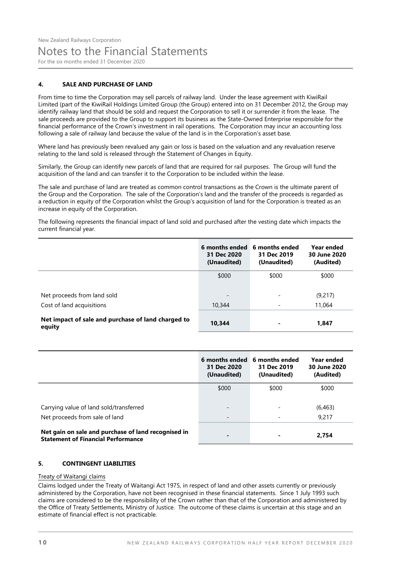### Notes to the Financial Statements

For the six months ended 31 December 2020

#### **4. SALE AND PURCHASE OF LAND**

From time to time the Corporation may sell parcels of railway land. Under the lease agreement with KiwiRail Limited (part of the KiwiRail Holdings Limited Group (the Group) entered into on 31 December 2012, the Group may identify railway land that should be sold and request the Corporation to sell it or surrender it from the lease. The sale proceeds are provided to the Group to support its business as the State-Owned Enterprise responsible for the financial performance of the Crown's investment in rail operations. The Corporation may incur an accounting loss following a sale of railway land because the value of the land is in the Corporation's asset base.

Where land has previously been revalued any gain or loss is based on the valuation and any revaluation reserve relating to the land sold is released through the Statement of Changes in Equity.

Similarly, the Group can identify new parcels of land that are required for rail purposes. The Group will fund the acquisition of the land and can transfer it to the Corporation to be included within the lease.

The sale and purchase of land are treated as common control transactions as the Crown is the ultimate parent of the Group and the Corporation. The sale of the Corporation's land and the transfer of the proceeds is regarded as a reduction in equity of the Corporation whilst the Group's acquisition of land for the Corporation is treated as an increase in equity of the Corporation.

The following represents the financial impact of land sold and purchased after the vesting date which impacts the current financial year.

|                                                              | 6 months ended<br>31 Dec 2020<br>(Unaudited) | 6 months ended<br>31 Dec 2019<br>(Unaudited) | Year ended<br>30 June 2020<br>(Audited) |
|--------------------------------------------------------------|----------------------------------------------|----------------------------------------------|-----------------------------------------|
|                                                              | \$000                                        | \$000                                        | \$000                                   |
| Net proceeds from land sold                                  | $\overline{\phantom{0}}$                     |                                              | (9,217)                                 |
| Cost of land acquisitions                                    | 10,344                                       |                                              | 11,064                                  |
| Net impact of sale and purchase of land charged to<br>equity | 10.344                                       |                                              | 1,847                                   |

|                                                                                                  | 31 Dec 2020<br>(Unaudited) | 6 months ended 6 months ended<br>31 Dec 2019<br>(Unaudited) | Year ended<br>30 June 2020<br>(Audited) |
|--------------------------------------------------------------------------------------------------|----------------------------|-------------------------------------------------------------|-----------------------------------------|
|                                                                                                  | \$000                      | \$000                                                       | \$000                                   |
| Carrying value of land sold/transferred                                                          |                            |                                                             | (6, 463)                                |
| Net proceeds from sale of land                                                                   |                            |                                                             | 9,217                                   |
| Net gain on sale and purchase of land recognised in<br><b>Statement of Financial Performance</b> |                            |                                                             | 2,754                                   |

#### **5. CONTINGENT LIABILITIES**

#### Treaty of Waitangi claims

Claims lodged under the Treaty of Waitangi Act 1975, in respect of land and other assets currently or previously administered by the Corporation, have not been recognised in these financial statements. Since 1 July 1993 such claims are considered to be the responsibility of the Crown rather than that of the Corporation and administered by the Office of Treaty Settlements, Ministry of Justice. The outcome of these claims is uncertain at this stage and an estimate of financial effect is not practicable.